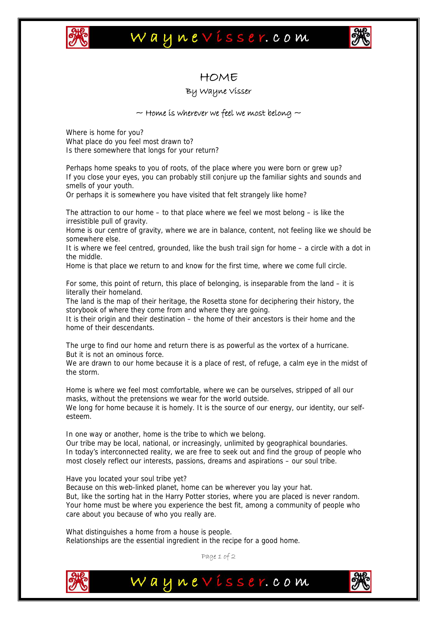

## Waynevisser.com



### HOME

### By Wayne Visser

#### $\sim$  Home is wherever we feel we most belong  $\sim$

Where is home for you? What place do you feel most drawn to? Is there somewhere that longs for your return?

Perhaps home speaks to you of roots, of the place where you were born or grew up? If you close your eyes, you can probably still conjure up the familiar sights and sounds and smells of your youth.

Or perhaps it is somewhere you have visited that felt strangely like home?

The attraction to our home – to that place where we feel we most belong – is like the irresistible pull of gravity.

Home is our centre of gravity, where we are in balance, content, not feeling like we should be somewhere else.

It is where we feel centred, grounded, like the bush trail sign for home – a circle with a dot in the middle.

Home is that place we return to and know for the first time, where we come full circle.

For some, this point of return, this place of belonging, is inseparable from the land – it is literally their homeland.

The land is the map of their heritage, the Rosetta stone for deciphering their history, the storybook of where they come from and where they are going.

It is their origin and their destination – the home of their ancestors is their home and the home of their descendants.

The urge to find our home and return there is as powerful as the vortex of a hurricane. But it is not an ominous force.

We are drawn to our home because it is a place of rest, of refuge, a calm eye in the midst of the storm.

Home is where we feel most comfortable, where we can be ourselves, stripped of all our masks, without the pretensions we wear for the world outside.

We long for home because it is homely. It is the source of our energy, our identity, our selfesteem.

In one way or another, home is the tribe to which we belong.

Our tribe may be local, national, or increasingly, unlimited by geographical boundaries. In today's interconnected reality, we are free to seek out and find the group of people who most closely reflect our interests, passions, dreams and aspirations – our soul tribe.

Have you located your soul tribe yet?

Because on this web-linked planet, home can be wherever you lay your hat. But, like the sorting hat in the Harry Potter stories, where you are placed is never random. Your home must be where you experience the best fit, among a community of people who care about you because of who you really are.

What distinguishes a home from a house is people. Relationships are the essential ingredient in the recipe for a good home.

Page 1 of 2

Waynevisser.com